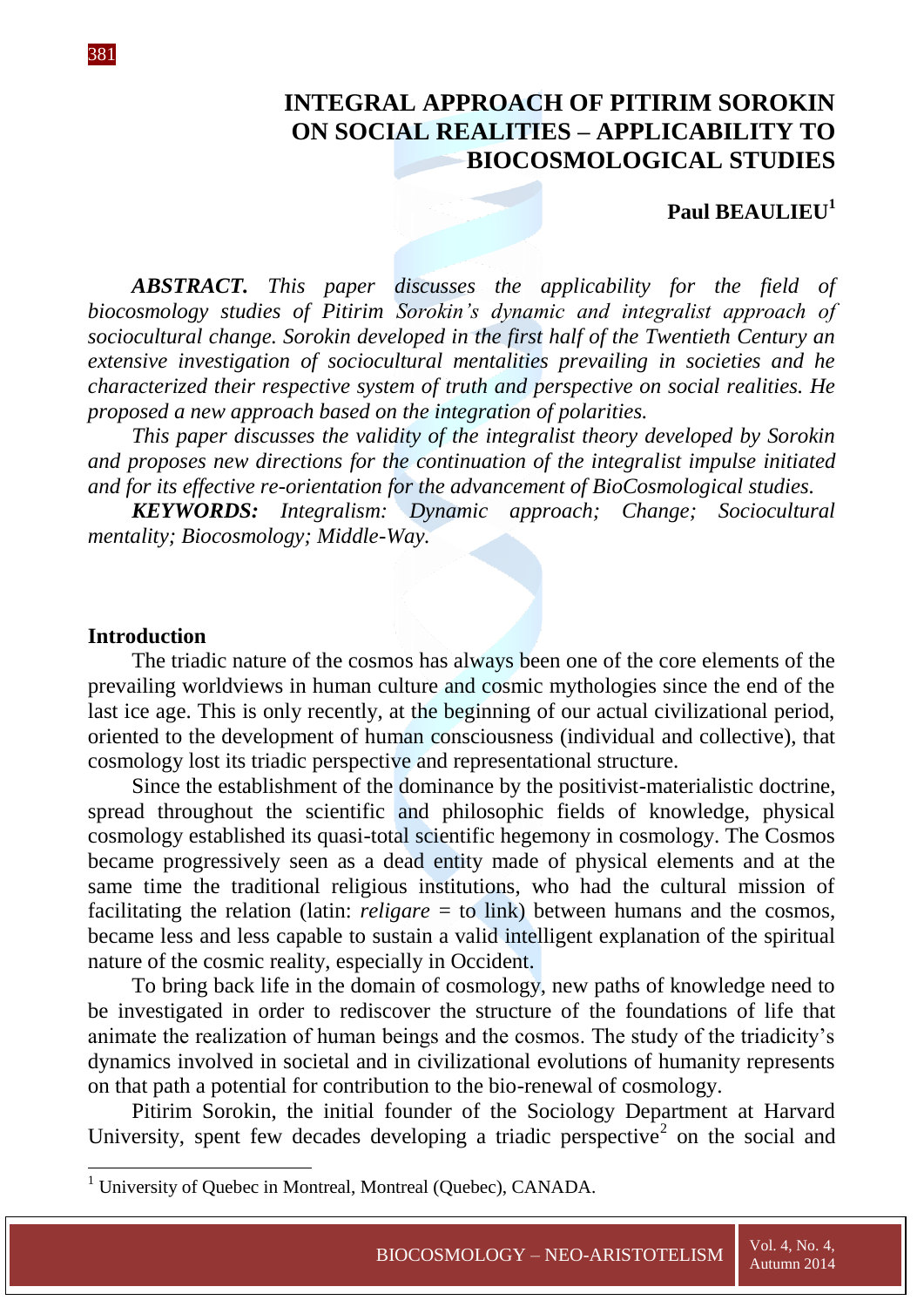# **Paul BEAULIEU<sup>1</sup>**

*ABSTRACT. This paper discusses the applicability for the field of biocosmology studies of Pitirim Sorokin's dynamic and integralist approach of sociocultural change. Sorokin developed in the first half of the Twentieth Century an extensive investigation of sociocultural mentalities prevailing in societies and he characterized their respective system of truth and perspective on social realities. He proposed a new approach based on the integration of polarities.*

*This paper discusses the validity of the integralist theory developed by Sorokin and proposes new directions for the continuation of the integralist impulse initiated and for its effective re-orientation for the advancement of BioCosmological studies.* 

*KEYWORDS: Integralism: Dynamic approach; Change; Sociocultural mentality; Biocosmology; Middle-Way.*

#### **Introduction**

1

381

The triadic nature of the cosmos has always been one of the core elements of the prevailing worldviews in human culture and cosmic mythologies since the end of the last ice age. This is only recently, at the beginning of our actual civilizational period, oriented to the development of human consciousness (individual and collective), that cosmology lost its triadic perspective and representational structure.

Since the establishment of the dominance by the positivist-materialistic doctrine, spread throughout the scientific and philosophic fields of knowledge, physical cosmology established its quasi-total scientific hegemony in cosmology. The Cosmos became progressively seen as a dead entity made of physical elements and at the same time the traditional religious institutions, who had the cultural mission of facilitating the relation (latin: *religare* = to link) between humans and the cosmos, became less and less capable to sustain a valid intelligent explanation of the spiritual nature of the cosmic reality, especially in Occident.

To bring back life in the domain of cosmology, new paths of knowledge need to be investigated in order to rediscover the structure of the foundations of life that animate the realization of human beings and the cosmos. The study of the triadicity's dynamics involved in societal and in civilizational evolutions of humanity represents on that path a potential for contribution to the bio-renewal of cosmology.

Pitirim Sorokin, the initial founder of the Sociology Department at Harvard University, spent few decades developing a triadic perspective<sup>2</sup> on the social and

<sup>&</sup>lt;sup>1</sup> University of Quebec in Montreal, Montreal (Quebec), CANADA.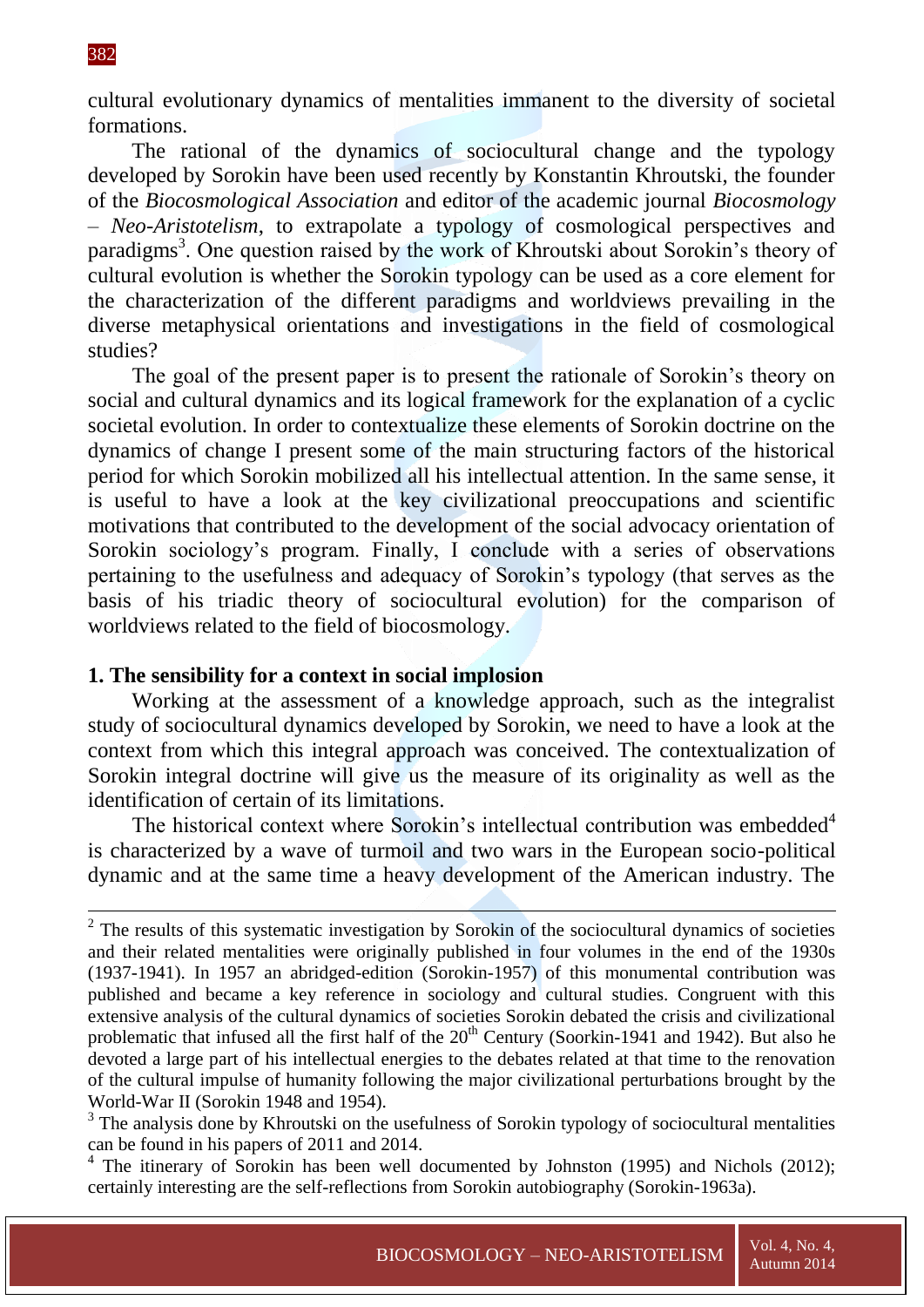cultural evolutionary dynamics of mentalities immanent to the diversity of societal formations.

The rational of the dynamics of sociocultural change and the typology developed by Sorokin have been used recently by Konstantin Khroutski, the founder of the *Biocosmological Association* and editor of the academic journal *Biocosmology* – *Neo-Aristotelism*, to extrapolate a typology of cosmological perspectives and paradigms<sup>3</sup>. One question raised by the work of Khroutski about Sorokin's theory of cultural evolution is whether the Sorokin typology can be used as a core element for the characterization of the different paradigms and worldviews prevailing in the diverse metaphysical orientations and investigations in the field of cosmological studies?

The goal of the present paper is to present the rationale of Sorokin's theory on social and cultural dynamics and its logical framework for the explanation of a cyclic societal evolution. In order to contextualize these elements of Sorokin doctrine on the dynamics of change I present some of the main structuring factors of the historical period for which Sorokin mobilized all his intellectual attention. In the same sense, it is useful to have a look at the key civilizational preoccupations and scientific motivations that contributed to the development of the social advocacy orientation of Sorokin sociology's program. Finally, I conclude with a series of observations pertaining to the usefulness and adequacy of Sorokin's typology (that serves as the basis of his triadic theory of sociocultural evolution) for the comparison of worldviews related to the field of biocosmology.

### **1. The sensibility for a context in social implosion**

Working at the assessment of a knowledge approach, such as the integralist study of sociocultural dynamics developed by Sorokin, we need to have a look at the context from which this integral approach was conceived. The contextualization of Sorokin integral doctrine will give us the measure of its originality as well as the identification of certain of its limitations.

The historical context where Sorokin's intellectual contribution was embedded  $4$ is characterized by a wave of turmoil and two wars in the European socio-political dynamic and at the same time a heavy development of the American industry. The

 $2$  The results of this systematic investigation by Sorokin of the sociocultural dynamics of societies and their related mentalities were originally published in four volumes in the end of the 1930s (1937-1941). In 1957 an abridged-edition (Sorokin-1957) of this monumental contribution was published and became a key reference in sociology and cultural studies. Congruent with this extensive analysis of the cultural dynamics of societies Sorokin debated the crisis and civilizational problematic that infused all the first half of the 20<sup>th</sup> Century (Soorkin-1941 and 1942). But also he devoted a large part of his intellectual energies to the debates related at that time to the renovation of the cultural impulse of humanity following the major civilizational perturbations brought by the World-War II (Sorokin 1948 and 1954).

 $3$  The analysis done by Khroutski on the usefulness of Sorokin typology of sociocultural mentalities can be found in his papers of 2011 and 2014.

<sup>&</sup>lt;sup>4</sup> The itinerary of Sorokin has been well documented by Johnston (1995) and Nichols (2012); certainly interesting are the self-reflections from Sorokin autobiography (Sorokin-1963a).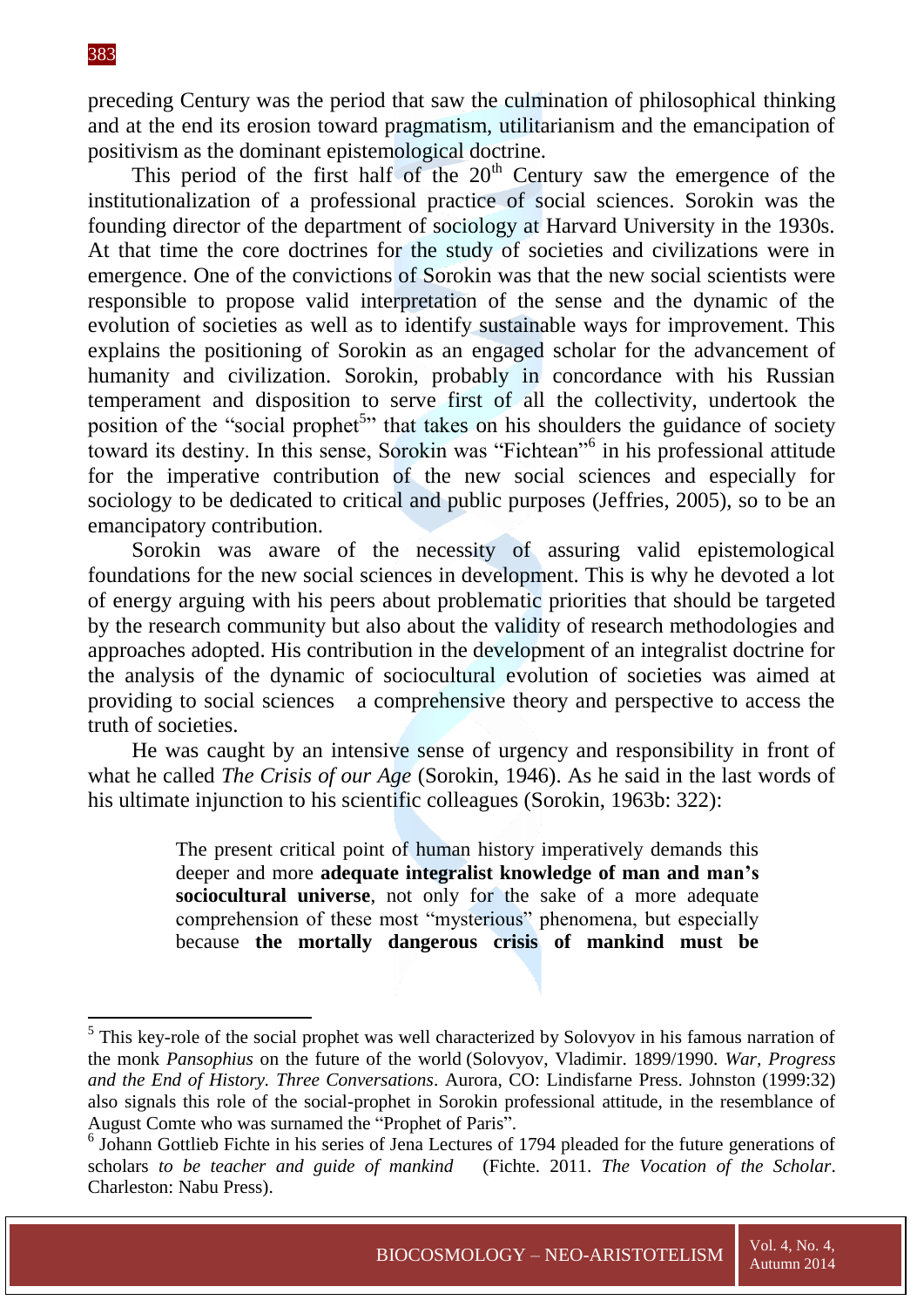preceding Century was the period that saw the culmination of philosophical thinking and at the end its erosion toward pragmatism, utilitarianism and the emancipation of positivism as the dominant epistemological doctrine.

This period of the first half of the  $20<sup>th</sup>$  Century saw the emergence of the institutionalization of a professional practice of social sciences. Sorokin was the founding director of the department of sociology at Harvard University in the 1930s. At that time the core doctrines for the study of societies and civilizations were in emergence. One of the convictions of Sorokin was that the new social scientists were responsible to propose valid interpretation of the sense and the dynamic of the evolution of societies as well as to identify sustainable ways for improvement. This explains the positioning of Sorokin as an engaged scholar for the advancement of humanity and civilization. Sorokin, probably in concordance with his Russian temperament and disposition to serve first of all the collectivity, undertook the position of the "social prophet<sup>5</sup>" that takes on his shoulders the guidance of society toward its destiny. In this sense, Sorokin was "Fichtean"<sup>6</sup> in his professional attitude for the imperative contribution of the new social sciences and especially for sociology to be dedicated to critical and public purposes (Jeffries, 2005), so to be an emancipatory contribution.

Sorokin was aware of the necessity of assuring valid epistemological foundations for the new social sciences in development. This is why he devoted a lot of energy arguing with his peers about problematic priorities that should be targeted by the research community but also about the validity of research methodologies and approaches adopted. His contribution in the development of an integralist doctrine for the analysis of the dynamic of sociocultural evolution of societies was aimed at providing to social sciences a comprehensive theory and perspective to access the truth of societies.

He was caught by an intensive sense of urgency and responsibility in front of what he called *The Crisis of our Age* (Sorokin, 1946). As he said in the last words of his ultimate injunction to his scientific colleagues (Sorokin, 1963b: 322):

> The present critical point of human history imperatively demands this deeper and more **adequate integralist knowledge of man and man's sociocultural universe**, not only for the sake of a more adequate comprehension of these most "mysterious" phenomena, but especially because **the mortally dangerous crisis of mankind must be**

<sup>&</sup>lt;sup>5</sup> This key-role of the social prophet was well characterized by Solovyov in his famous narration of the monk *Pansophius* on the future of the world (Solovyov, Vladimir. 1899/1990. *War, Progress and the End of History. Three Conversations*. Aurora, CO: Lindisfarne Press. Johnston (1999:32) also signals this role of the social-prophet in Sorokin professional attitude, in the resemblance of August Comte who was surnamed the "Prophet of Paris".

<sup>&</sup>lt;sup>6</sup> Johann Gottlieb Fichte in his series of Jena Lectures of 1794 pleaded for the future generations of scholars *to be teacher and guide of mankind* (Fichte. 2011. *The Vocation of the Scholar*. Charleston: Nabu Press).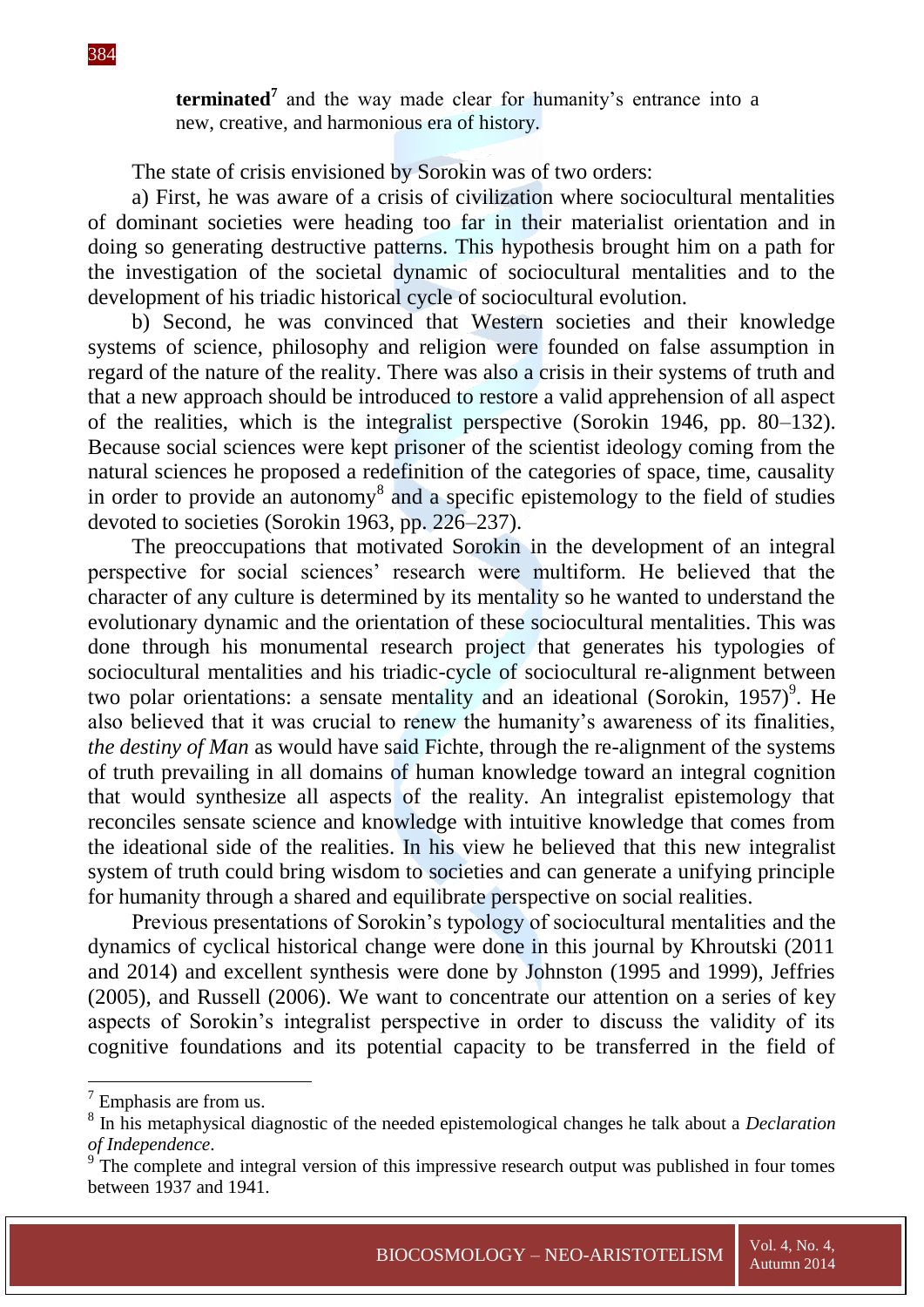**terminated<sup>7</sup>** and the way made clear for humanity's entrance into a new, creative, and harmonious era of history.

The state of crisis envisioned by Sorokin was of two orders:

a) First, he was aware of a crisis of civilization where sociocultural mentalities of dominant societies were heading too far in their materialist orientation and in doing so generating destructive patterns. This hypothesis brought him on a path for the investigation of the societal dynamic of sociocultural mentalities and to the development of his triadic historical cycle of sociocultural evolution.

b) Second, he was convinced that Western societies and their knowledge systems of science, philosophy and religion were founded on false assumption in regard of the nature of the reality. There was also a crisis in their systems of truth and that a new approach should be introduced to restore a valid apprehension of all aspect of the realities, which is the integralist perspective (Sorokin 1946, pp. 80–132). Because social sciences were kept prisoner of the scientist ideology coming from the natural sciences he proposed a redefinition of the categories of space, time, causality in order to provide an autonomy<sup>8</sup> and a specific epistemology to the field of studies devoted to societies (Sorokin 1963, pp. 226–237).

The preoccupations that motivated Sorokin in the development of an integral perspective for social sciences' research were multiform. He believed that the character of any culture is determined by its mentality so he wanted to understand the evolutionary dynamic and the orientation of these sociocultural mentalities. This was done through his monumental research project that generates his typologies of sociocultural mentalities and his triadic-cycle of sociocultural re-alignment between two polar orientations: a sensate mentality and an ideational (Sorokin, 1957)<sup>9</sup>. He also believed that it was crucial to renew the humanity's awareness of its finalities, *the destiny of Man* as would have said Fichte, through the re-alignment of the systems of truth prevailing in all domains of human knowledge toward an integral cognition that would synthesize all aspects of the reality. An integralist epistemology that reconciles sensate science and knowledge with intuitive knowledge that comes from the ideational side of the realities. In his view he believed that this new integralist system of truth could bring wisdom to societies and can generate a unifying principle for humanity through a shared and equilibrate perspective on social realities.

Previous presentations of Sorokin's typology of sociocultural mentalities and the dynamics of cyclical historical change were done in this journal by Khroutski (2011 and 2014) and excellent synthesis were done by Johnston (1995 and 1999), Jeffries (2005), and Russell (2006). We want to concentrate our attention on a series of key aspects of Sorokin's integralist perspective in order to discuss the validity of its cognitive foundations and its potential capacity to be transferred in the field of

<u>.</u>

 $7$  Emphasis are from us.

<sup>8</sup> In his metaphysical diagnostic of the needed epistemological changes he talk about a *Declaration of Independence*.

 $9^{\circ}$  The complete and integral version of this impressive research output was published in four tomes between 1937 and 1941.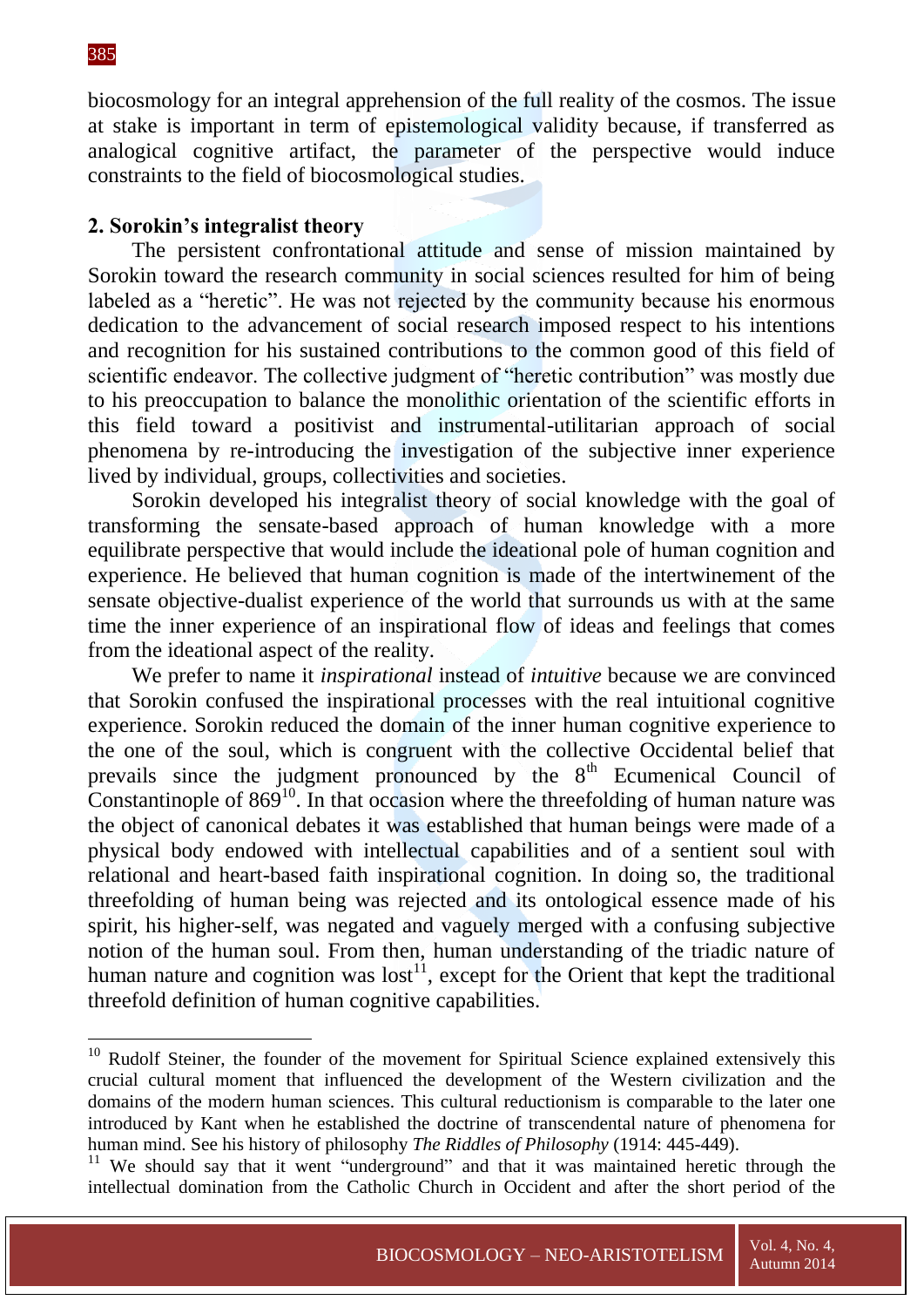biocosmology for an integral apprehension of the full reality of the cosmos. The issue at stake is important in term of epistemological validity because, if transferred as analogical cognitive artifact, the parameter of the perspective would induce constraints to the field of biocosmological studies.

# **2. Sorokin's integralist theory**

The persistent confrontational attitude and sense of mission maintained by Sorokin toward the research community in social sciences resulted for him of being labeled as a "heretic". He was not rejected by the community because his enormous dedication to the advancement of social research imposed respect to his intentions and recognition for his sustained contributions to the common good of this field of scientific endeavor. The collective judgment of "heretic contribution" was mostly due to his preoccupation to balance the monolithic orientation of the scientific efforts in this field toward a positivist and instrumental-utilitarian approach of social phenomena by re-introducing the investigation of the subjective inner experience lived by individual, groups, collectivities and societies.

Sorokin developed his integralist theory of social knowledge with the goal of transforming the sensate-based approach of human knowledge with a more equilibrate perspective that would include the ideational pole of human cognition and experience. He believed that human cognition is made of the intertwinement of the sensate objective-dualist experience of the world that surrounds us with at the same time the inner experience of an inspirational flow of ideas and feelings that comes from the ideational aspect of the reality.

We prefer to name it *inspirational* instead of *intuitive* because we are convinced that Sorokin confused the inspirational processes with the real intuitional cognitive experience. Sorokin reduced the domain of the inner human cognitive experience to the one of the soul, which is congruent with the collective Occidental belief that prevails since the judgment pronounced by the 8<sup>th</sup> Ecumenical Council of Constantinople of  $869^{10}$ . In that occasion where the threefolding of human nature was the object of canonical debates it was established that human beings were made of a physical body endowed with intellectual capabilities and of a sentient soul with relational and heart-based faith inspirational cognition. In doing so, the traditional threefolding of human being was rejected and its ontological essence made of his spirit, his higher-self, was negated and vaguely merged with a confusing subjective notion of the human soul. From then, human understanding of the triadic nature of human nature and cognition was  $\text{lost}^{11}$ , except for the Orient that kept the traditional threefold definition of human cognitive capabilities.

 $10$  Rudolf Steiner, the founder of the movement for Spiritual Science explained extensively this crucial cultural moment that influenced the development of the Western civilization and the domains of the modern human sciences. This cultural reductionism is comparable to the later one introduced by Kant when he established the doctrine of transcendental nature of phenomena for human mind. See his history of philosophy *The Riddles of Philosophy* (1914: 445-449).

<sup>&</sup>lt;sup>11</sup> We should say that it went "underground" and that it was maintained heretic through the intellectual domination from the Catholic Church in Occident and after the short period of the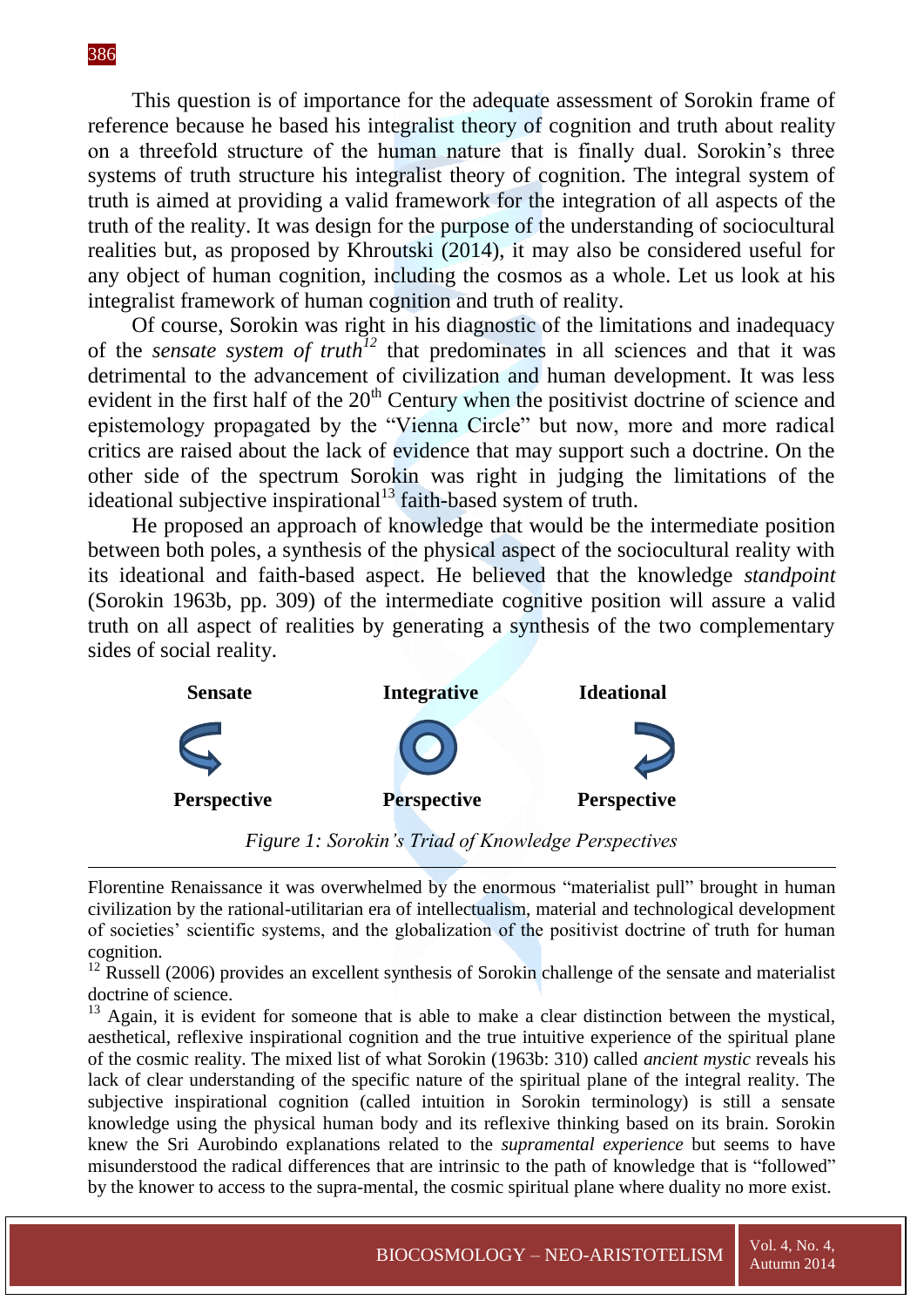<u>.</u>

This question is of importance for the adequate assessment of Sorokin frame of reference because he based his integralist theory of cognition and truth about reality on a threefold structure of the human nature that is finally dual. Sorokin's three systems of truth structure his integralist theory of cognition. The integral system of truth is aimed at providing a valid framework for the integration of all aspects of the truth of the reality. It was design for the purpose of the understanding of sociocultural realities but, as proposed by Khroutski (2014), it may also be considered useful for any object of human cognition, including the cosmos as a whole. Let us look at his integralist framework of human cognition and truth of reality.

Of course, Sorokin was right in his diagnostic of the limitations and inadequacy of the *sensate system of truth<sup>12</sup>* that predominates in all sciences and that it was detrimental to the advancement of civilization and human development. It was less evident in the first half of the  $20<sup>th</sup>$  Century when the positivist doctrine of science and epistemology propagated by the "Vienna Circle" but now, more and more radical critics are raised about the lack of evidence that may support such a doctrine. On the other side of the spectrum Sorokin was right in judging the limitations of the ideational subjective inspirational<sup>13</sup> faith-based system of truth.

He proposed an approach of knowledge that would be the intermediate position between both poles, a synthesis of the physical aspect of the sociocultural reality with its ideational and faith-based aspect. He believed that the knowledge *standpoint* (Sorokin 1963b, pp. 309) of the intermediate cognitive position will assure a valid truth on all aspect of realities by generating a synthesis of the two complementary sides of social reality.



*Figure 1: Sorokin's Triad of Knowledge Perspectives*

Florentine Renaissance it was overwhelmed by the enormous "materialist pull" brought in human civilization by the rational-utilitarian era of intellectualism, material and technological development of societies' scientific systems, and the globalization of the positivist doctrine of truth for human cognition.

 $12$  Russell (2006) provides an excellent synthesis of Sorokin challenge of the sensate and materialist doctrine of science.

 $13$  Again, it is evident for someone that is able to make a clear distinction between the mystical, aesthetical, reflexive inspirational cognition and the true intuitive experience of the spiritual plane of the cosmic reality. The mixed list of what Sorokin (1963b: 310) called *ancient mystic* reveals his lack of clear understanding of the specific nature of the spiritual plane of the integral reality. The subjective inspirational cognition (called intuition in Sorokin terminology) is still a sensate knowledge using the physical human body and its reflexive thinking based on its brain. Sorokin knew the Sri Aurobindo explanations related to the *supramental experience* but seems to have misunderstood the radical differences that are intrinsic to the path of knowledge that is "followed" by the knower to access to the supra-mental, the cosmic spiritual plane where duality no more exist.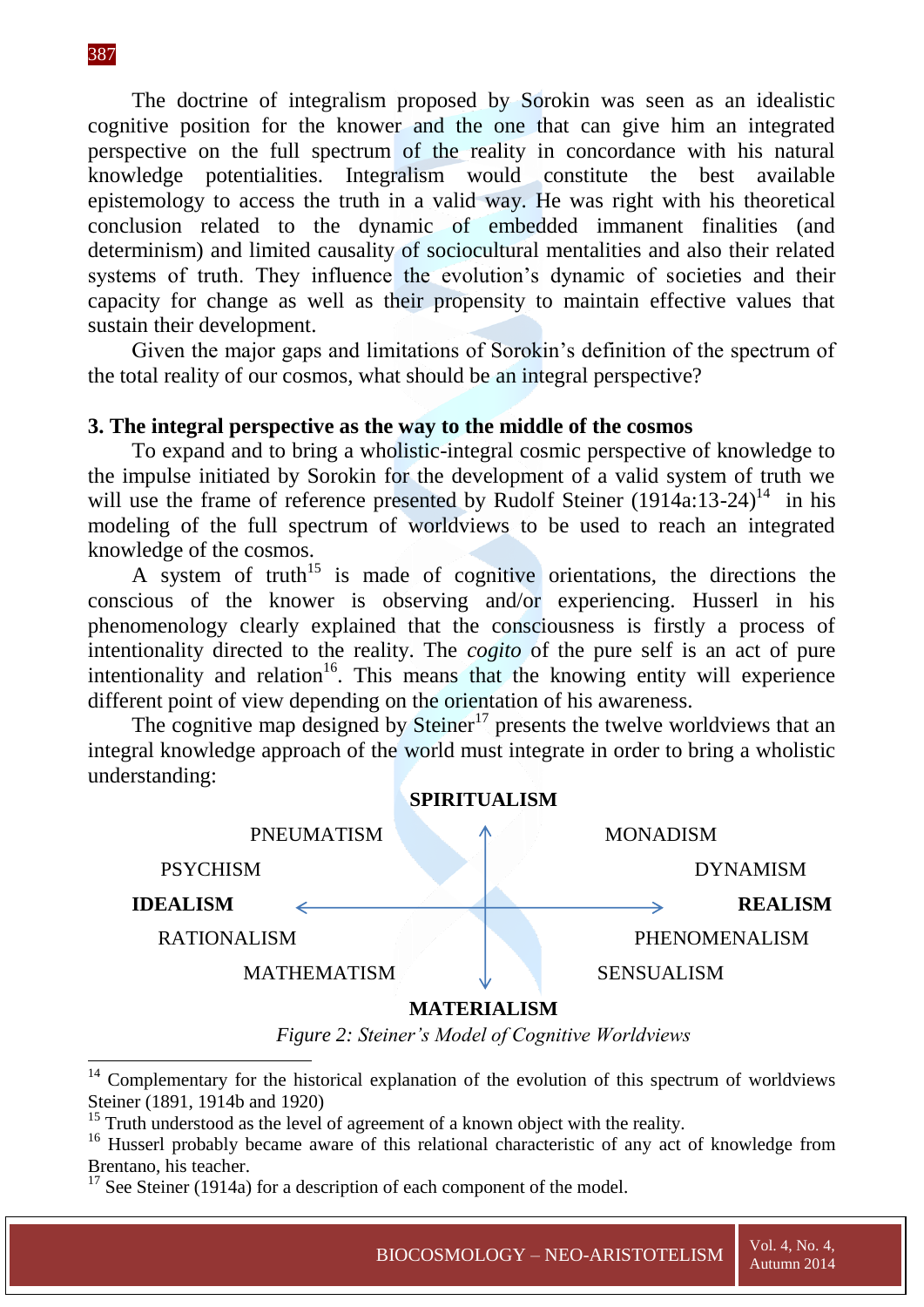The doctrine of integralism proposed by Sorokin was seen as an idealistic cognitive position for the knower and the one that can give him an integrated perspective on the full spectrum of the reality in concordance with his natural knowledge potentialities. Integralism would constitute the best available epistemology to access the truth in a valid way. He was right with his theoretical conclusion related to the dynamic of embedded immanent finalities (and determinism) and limited causality of sociocultural mentalities and also their related systems of truth. They influence the evolution's dynamic of societies and their capacity for change as well as their propensity to maintain effective values that sustain their development.

Given the major gaps and limitations of Sorokin's definition of the spectrum of the total reality of our cosmos, what should be an integral perspective?

# **3. The integral perspective as the way to the middle of the cosmos**

To expand and to bring a wholistic-integral cosmic perspective of knowledge to the impulse initiated by Sorokin for the development of a valid system of truth we will use the frame of reference presented by Rudolf Steiner  $(1914a:13-24)^{14}$  in his modeling of the full spectrum of worldviews to be used to reach an integrated knowledge of the cosmos.

A system of truth<sup>15</sup> is made of cognitive orientations, the directions the conscious of the knower is observing and/or experiencing. Husserl in his phenomenology clearly explained that the consciousness is firstly a process of intentionality directed to the reality. The *cogito* of the pure self is an act of pure intentionality and relation<sup>16</sup>. This means that the knowing entity will experience different point of view depending on the orientation of his awareness.

The cognitive map designed by Steiner<sup>17</sup> presents the twelve worldviews that an integral knowledge approach of the world must integrate in order to bring a wholistic understanding:

| <b>SPIRITUALISM</b> |      |                   |
|---------------------|------|-------------------|
| <b>PNEUMATISM</b>   | - 48 | <b>MONADISM</b>   |
| <b>PSYCHISM</b>     |      | <b>DYNAMISM</b>   |
| <b>IDEALISM</b>     |      | <b>REALISM</b>    |
| <b>RATIONALISM</b>  |      | PHENOMENALISM     |
| <b>MATHEMATISM</b>  |      | <b>SENSUALISM</b> |
| <b>MATERIALISM</b>  |      |                   |

*Figure 2: Steiner's Model of Cognitive Worldviews*

<sup>&</sup>lt;sup>14</sup> Complementary for the historical explanation of the evolution of this spectrum of worldviews Steiner (1891, 1914b and 1920)

<sup>&</sup>lt;sup>15</sup> Truth understood as the level of agreement of a known object with the reality.

<sup>&</sup>lt;sup>16</sup> Husserl probably became aware of this relational characteristic of any act of knowledge from Brentano, his teacher.

 $17$  See Steiner (1914a) for a description of each component of the model.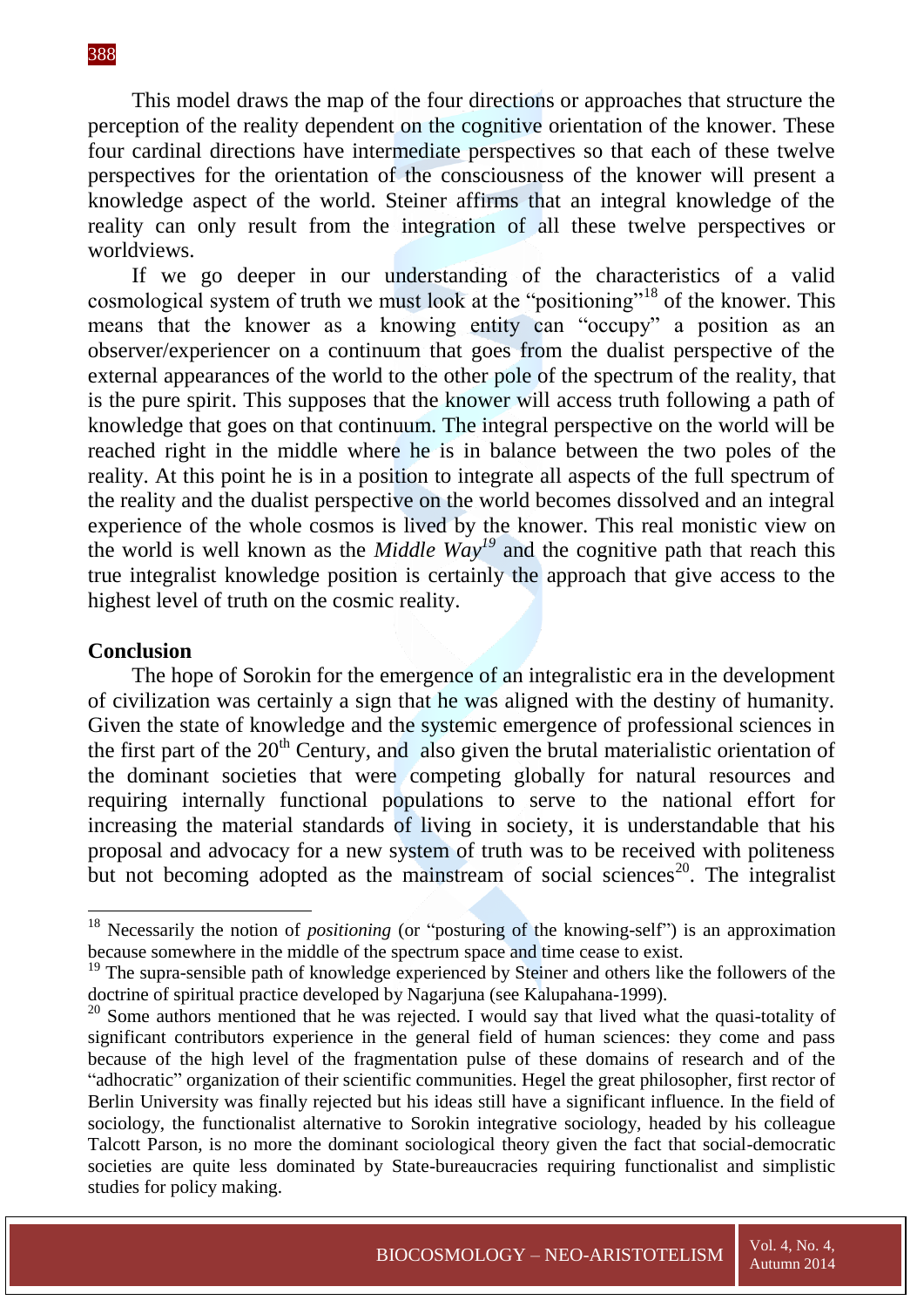This model draws the map of the four directions or approaches that structure the perception of the reality dependent on the cognitive orientation of the knower. These four cardinal directions have intermediate perspectives so that each of these twelve perspectives for the orientation of the consciousness of the knower will present a knowledge aspect of the world. Steiner affirms that an integral knowledge of the reality can only result from the integration of all these twelve perspectives or worldviews.

If we go deeper in our understanding of the characteristics of a valid cosmological system of truth we must look at the "positioning"<sup>18</sup> of the knower. This means that the knower as a knowing entity can "occupy" a position as an observer/experiencer on a continuum that goes from the dualist perspective of the external appearances of the world to the other pole of the spectrum of the reality, that is the pure spirit. This supposes that the knower will access truth following a path of knowledge that goes on that continuum. The integral perspective on the world will be reached right in the middle where he is in balance between the two poles of the reality. At this point he is in a position to integrate all aspects of the full spectrum of the reality and the dualist perspective on the world becomes dissolved and an integral experience of the whole cosmos is lived by the knower. This real monistic view on the world is well known as the *Middle Way<sup>19</sup>* and the cognitive path that reach this true integralist knowledge position is certainly the approach that give access to the highest level of truth on the cosmic reality.

## **Conclusion**

1

The hope of Sorokin for the emergence of an integralistic era in the development of civilization was certainly a sign that he was aligned with the destiny of humanity. Given the state of knowledge and the systemic emergence of professional sciences in the first part of the  $20<sup>th</sup>$  Century, and also given the brutal materialistic orientation of the dominant societies that were competing globally for natural resources and requiring internally functional populations to serve to the national effort for increasing the material standards of living in society, it is understandable that his proposal and advocacy for a new system of truth was to be received with politeness but not becoming adopted as the mainstream of social sciences<sup>20</sup>. The integralist

<sup>&</sup>lt;sup>18</sup> Necessarily the notion of *positioning* (or "posturing of the knowing-self") is an approximation because somewhere in the middle of the spectrum space and time cease to exist.

<sup>&</sup>lt;sup>19</sup> The supra-sensible path of knowledge experienced by Steiner and others like the followers of the doctrine of spiritual practice developed by Nagarjuna (see Kalupahana-1999).

<sup>&</sup>lt;sup>20</sup> Some authors mentioned that he was rejected. I would say that lived what the quasi-totality of significant contributors experience in the general field of human sciences: they come and pass because of the high level of the fragmentation pulse of these domains of research and of the "adhocratic" organization of their scientific communities. Hegel the great philosopher, first rector of Berlin University was finally rejected but his ideas still have a significant influence. In the field of sociology, the functionalist alternative to Sorokin integrative sociology, headed by his colleague Talcott Parson, is no more the dominant sociological theory given the fact that social-democratic societies are quite less dominated by State-bureaucracies requiring functionalist and simplistic studies for policy making.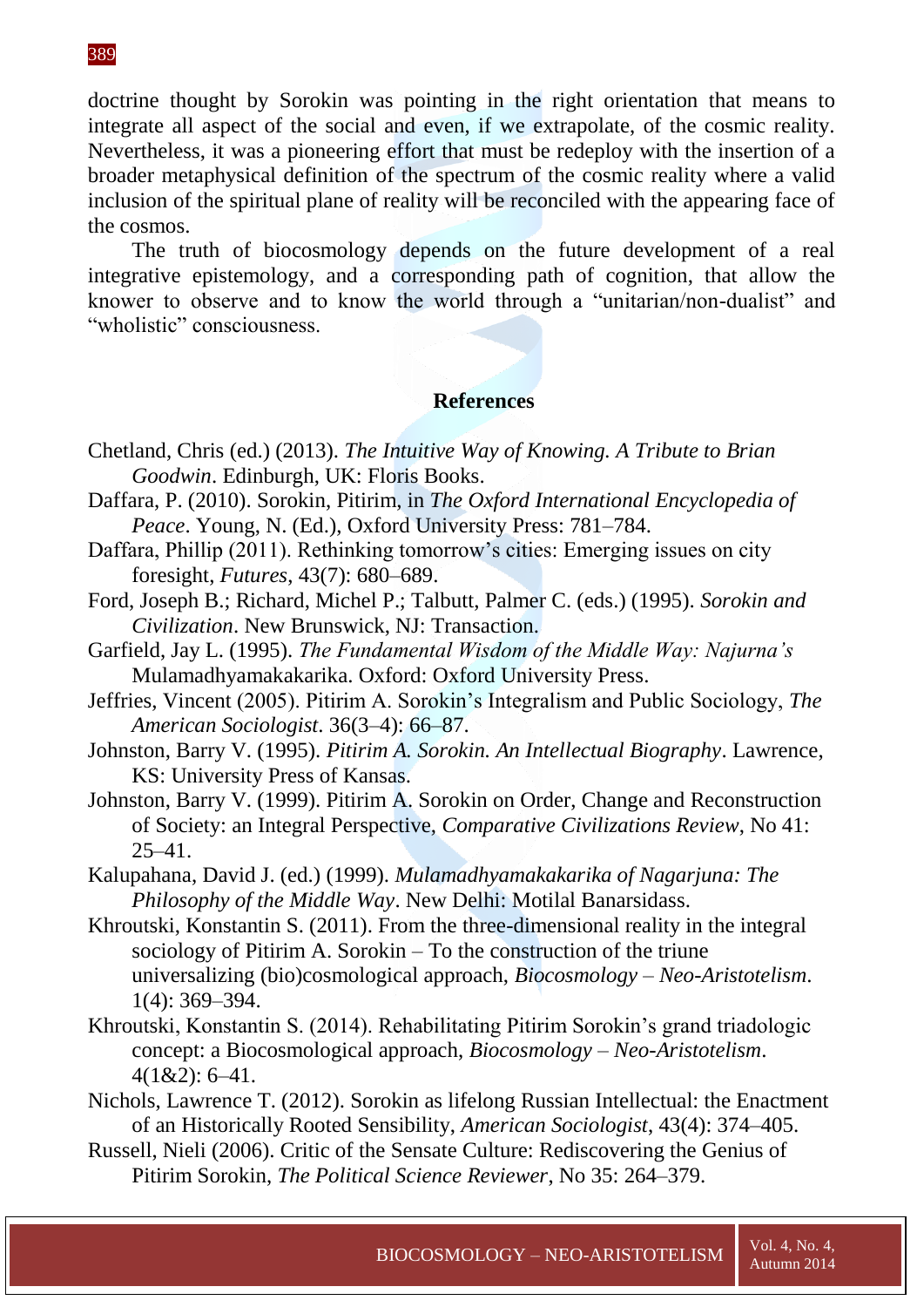doctrine thought by Sorokin was pointing in the right orientation that means to integrate all aspect of the social and even, if we extrapolate, of the cosmic reality. Nevertheless, it was a pioneering effort that must be redeploy with the insertion of a broader metaphysical definition of the spectrum of the cosmic reality where a valid inclusion of the spiritual plane of reality will be reconciled with the appearing face of the cosmos.

The truth of biocosmology depends on the future development of a real integrative epistemology, and a corresponding path of cognition, that allow the knower to observe and to know the world through a "unitarian/non-dualist" and "wholistic" consciousness.

### **References**

- Chetland, Chris (ed.) (2013). *The Intuitive Way of Knowing. A Tribute to Brian Goodwin*. Edinburgh, UK: Floris Books.
- Daffara, P. (2010). [Sorokin, Pitirim,](http://www.futuresense.com.au/pitirim-sorokin.html) in *The [Oxford International Encyclopedia of](http://www.oup.com/us/catalog/general/subject/Reference/?view=usa&ci=9780195334685#Author_Information)  [Peace](http://www.oup.com/us/catalog/general/subject/Reference/?view=usa&ci=9780195334685#Author_Information)*. Young, N. (Ed.), Oxford University Press: 781–784.
- Daffara, Phillip (2011). Rethinking tomorrow's cities: Emerging issues on city foresight, *Futures*, 43(7): 680–689.
- Ford, Joseph B.; Richard, Michel P.; Talbutt, Palmer C. (eds.) (1995). *Sorokin and Civilization*. New Brunswick, NJ: Transaction.

Garfield, Jay L. (1995). *The Fundamental Wisdom of the Middle Way: Najurna's*  Mulamadhyamakakarika. Oxford: Oxford University Press.

Jeffries, Vincent (2005). Pitirim A. Sorokin's Integralism and Public Sociology, *The American Sociologist*. 36(3–4): 66–87.

Johnston, Barry V. (1995). *Pitirim A. Sorokin. An Intellectual Biography*. Lawrence, KS: University Press of Kansas.

Johnston, Barry V. (1999). Pitirim A. Sorokin on Order, Change and Reconstruction of Society: an Integral Perspective, *Comparative Civilizations Review*, No 41:  $25-41$ .

[Kalupahana,](http://www.amazon.ca/s/ref=dp_byline_sr_book_1?ie=UTF8&field-author=David+J.+Kalupahana&search-alias=books-ca) David J. (ed.) (1999). *Mulamadhyamakakarika of Nagarjuna: The Philosophy of the Middle Way*. New Delhi: Motilal Banarsidass.

Khroutski, Konstantin S. (2011). From the three-dimensional reality in the integral sociology of Pitirim A. Sorokin – To the construction of the triune universalizing (bio)cosmological approach, *Biocosmology – Neo-Aristotelism*. 1(4): 369–394.

- Khroutski, Konstantin S. (2014). Rehabilitating Pitirim Sorokin's grand triadologic concept: a Biocosmological approach, *Biocosmology – Neo-Aristotelism*.  $4(1&2): 6-41.$
- Nichols, Lawrence T. (2012). Sorokin as lifelong Russian Intellectual: the Enactment of an Historically Rooted Sensibility, *American Sociologist*, 43(4): 374–405.
- Russell, Nieli (2006). Critic of the Sensate Culture: Rediscovering the Genius of Pitirim Sorokin, *The Political Science Reviewer*, No 35: 264–379.

389